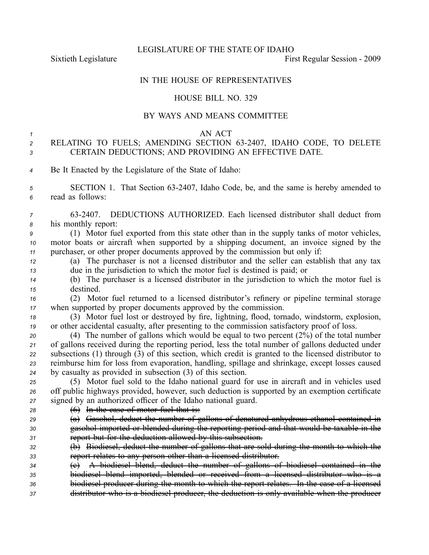LEGISLATURE OF THE STATE OF IDAHO

Sixtieth Legislature **First** Regular Session - 2009

## IN THE HOUSE OF REPRESENTATIVES

#### HOUSE BILL NO. 329

## BY WAYS AND MEANS COMMITTEE

#### *1* AN ACT

# *<sup>2</sup>* RELATING TO FUELS; AMENDING SECTION 632407, IDAHO CODE, TO DELETE *<sup>3</sup>* CERTAIN DEDUCTIONS; AND PROVIDING AN EFFECTIVE DATE.

*<sup>4</sup>* Be It Enacted by the Legislature of the State of Idaho:

5 **SECTION 1.** That Section 63-2407, Idaho Code, be, and the same is hereby amended to *<sup>6</sup>* read as follows:

*<sup>7</sup>* 632407. DEDUCTIONS AUTHORIZED. Each licensed distributor shall deduct from *<sup>8</sup>* his monthly report:

*<sup>9</sup>* (1) Motor fuel exported from this state other than in the supply tanks of motor vehicles, *<sup>10</sup>* motor boats or aircraft when supported by <sup>a</sup> shipping document, an invoice signed by the *<sup>11</sup>* purchaser, or other proper documents approved by the commission but only if:

*<sup>12</sup>* (a) The purchaser is not <sup>a</sup> licensed distributor and the seller can establish that any tax *<sup>13</sup>* due in the jurisdiction to which the motor fuel is destined is paid; or

*<sup>14</sup>* (b) The purchaser is <sup>a</sup> licensed distributor in the jurisdiction to which the motor fuel is *<sup>15</sup>* destined.

*<sup>16</sup>* (2) Motor fuel returned to <sup>a</sup> licensed distributor's refinery or pipeline terminal storage *<sup>17</sup>* when supported by proper documents approved by the commission.

*<sup>18</sup>* (3) Motor fuel lost or destroyed by fire, lightning, flood, tornado, windstorm, explosion, *<sup>19</sup>* or other accidental casualty, after presenting to the commission satisfactory proof of loss.

 (4) The number of gallons which would be equal to two percen<sup>t</sup> (2%) of the total number of gallons received during the reporting period, less the total number of gallons deducted under subsections (1) through (3) of this section, which credit is granted to the licensed distributor to reimburse him for loss from evaporation, handling, spillage and shrinkage, excep<sup>t</sup> losses caused by casualty as provided in subsection (3) of this section.

*<sup>25</sup>* (5) Motor fuel sold to the Idaho national guard for use in aircraft and in vehicles used *<sup>26</sup>* off public highways provided, however, such deduction is supported by an exemption certificate *<sup>27</sup>* signed by an authorized officer of the Idaho national guard.

- *<sup>28</sup>* (6) In the case of motor fuel that is:
- *<sup>29</sup>* (a) Gasohol, deduct the number of gallons of denatured anhydrous ethanol contained in *<sup>30</sup>* gasohol imported or blended during the reporting period and that would be taxable in the *<sup>31</sup>* repor<sup>t</sup> but for the deduction allowed by this subsection.
- *<sup>32</sup>* (b) Biodiesel, deduct the number of gallons that are sold during the month to which the *<sup>33</sup>* repor<sup>t</sup> relates to any person other than <sup>a</sup> licensed distributor.
- *<sup>34</sup>* (c) A biodiesel blend, deduct the number of gallons of biodiesel contained in the *<sup>35</sup>* biodiesel blend imported, blended or received from <sup>a</sup> licensed distributor who is <sup>a</sup> *<sup>36</sup>* biodiesel producer during the month to which the repor<sup>t</sup> relates. In the case of <sup>a</sup> licensed
- *<sup>37</sup>* distributor who is <sup>a</sup> biodiesel producer, the deduction is only available when the producer